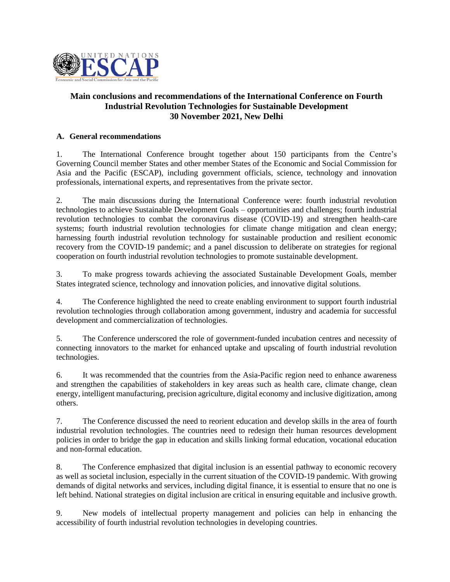

## **Main conclusions and recommendations of the International Conference on Fourth Industrial Revolution Technologies for Sustainable Development 30 November 2021, New Delhi**

## **A. General recommendations**

1. The International Conference brought together about 150 participants from the Centre's Governing Council member States and other member States of the Economic and Social Commission for Asia and the Pacific (ESCAP), including government officials, science, technology and innovation professionals, international experts, and representatives from the private sector.

2. The main discussions during the International Conference were: fourth industrial revolution technologies to achieve Sustainable Development Goals – opportunities and challenges; fourth industrial revolution technologies to combat the coronavirus disease (COVID-19) and strengthen health-care systems; fourth industrial revolution technologies for climate change mitigation and clean energy; harnessing fourth industrial revolution technology for sustainable production and resilient economic recovery from the COVID-19 pandemic; and a panel discussion to deliberate on strategies for regional cooperation on fourth industrial revolution technologies to promote sustainable development.

3. To make progress towards achieving the associated Sustainable Development Goals, member States integrated science, technology and innovation policies, and innovative digital solutions.

4. The Conference highlighted the need to create enabling environment to support fourth industrial revolution technologies through collaboration among government, industry and academia for successful development and commercialization of technologies.

5. The Conference underscored the role of government-funded incubation centres and necessity of connecting innovators to the market for enhanced uptake and upscaling of fourth industrial revolution technologies.

6. It was recommended that the countries from the Asia-Pacific region need to enhance awareness and strengthen the capabilities of stakeholders in key areas such as health care, climate change, clean energy, intelligent manufacturing, precision agriculture, digital economy and inclusive digitization, among others.

7. The Conference discussed the need to reorient education and develop skills in the area of fourth industrial revolution technologies. The countries need to redesign their human resources development policies in order to bridge the gap in education and skills linking formal education, vocational education and non-formal education.

8. The Conference emphasized that digital inclusion is an essential pathway to economic recovery as well as societal inclusion, especially in the current situation of the COVID-19 pandemic. With growing demands of digital networks and services, including digital finance, it is essential to ensure that no one is left behind. National strategies on digital inclusion are critical in ensuring equitable and inclusive growth.

9. New models of intellectual property management and policies can help in enhancing the accessibility of fourth industrial revolution technologies in developing countries.